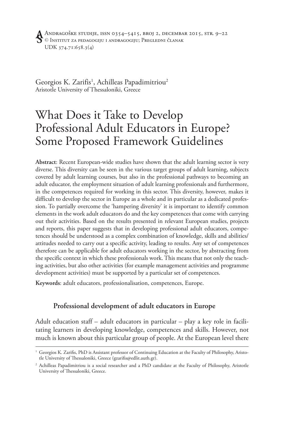Georgios K. Zarifis<sup>1</sup>, Achilleas Papadimitriou<sup>2</sup> Aristotle University of Thessaloniki, Greece

# What Does it Take to Develop Professional Adult Educators in Europe? Some Proposed Framework Guidelines

**Abstract**: Recent European-wide studies have shown that the adult learning sector is very diverse. This diversity can be seen in the various target groups of adult learning, subjects covered by adult learning courses, but also in the professional pathways to becoming an adult educator, the employment situation of adult learning professionals and furthermore, in the competences required for working in this sector. This diversity, however, makes it difficult to develop the sector in Europe as a whole and in particular as a dedicated profession. To partially overcome the 'hampering diversity' it is important to identify common elements in the work adult educators do and the key competences that come with carrying out their activities. Based on the results presented in relevant European studies, projects and reports, this paper suggests that in developing professional adult educators, competences should be understood as a complex combination of knowledge, skills and abilities/ attitudes needed to carry out a specific activity, leading to results. Any set of competences therefore can be applicable for adult educators working in the sector, by abstracting from the specific context in which these professionals work. This means that not only the teaching activities, but also other activities (for example management activities and programme development activities) must be supported by a particular set of competences.

**Keywords**: adult educators, professionalisation, competences, Europe.

### **Professional development of adult educators in Europe**

Adult education staff – adult educators in particular – play a key role in facilitating learners in developing knowledge, competences and skills. However, not much is known about this particular group of people. At the European level there

 $^1$  Georgios K. Zarifis, PhD is Assistant professor of Continuing Education at the Faculty of Philosophy, Aristotle University of Thessaloniki, Greece (gzarifis@edlit.auth.gr).

<sup>2</sup> Achilleas Papadimitriou is a social researcher and a PhD candidate at the Faculty of Philosophy, Aristotle University of Thessaloniki, Greece.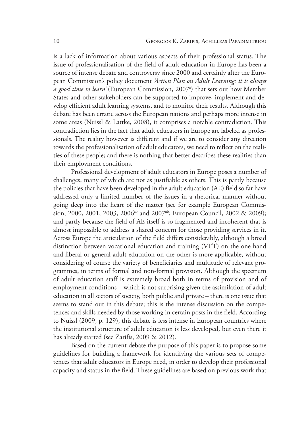is a lack of information about various aspects of their professional status. The issue of professionalisation of the field of adult education in Europe has been a source of intense debate and controversy since 2000 and certainly after the European Commission's policy document *'Action Plan on Adult Learning: it is always a good time to learn*' (European Commission, 2007<sup>a</sup>) that sets out how Member States and other stakeholders can be supported to improve, implement and develop efficient adult learning systems, and to monitor their results. Although this debate has been erratic across the European nations and perhaps more intense in some areas (Nuissl & Lattke, 2008), it comprises a notable contradiction. This contradiction lies in the fact that adult educators in Europe are labeled as professionals. The reality however is different and if we are to consider any direction towards the professionalisation of adult educators, we need to reflect on the realities of these people; and there is nothing that better describes these realities than their employment conditions.

Professional development of adult educators in Europe poses a number of challenges, many of which are not as justifiable as others*.* This is partly because the policies that have been developed in the adult education (AE) field so far have addressed only a limited number of the issues in a rhetorical manner without going deep into the heart of the matter (see for example European Commission, 2000, 2001, 2003, 2006<sup>ab</sup> and 2007<sup>ab</sup>; European Council, 2002 & 2009); and partly because the field of AE itself is so fragmented and incoherent that is almost impossible to address a shared concern for those providing services in it. Across Europe the articulation of the field differs considerably, although a broad distinction between vocational education and training (VET) on the one hand and liberal or general adult education on the other is more applicable, without considering of course the variety of beneficiaries and multitude of relevant programmes, in terms of formal and non-formal provision. Although the spectrum of adult education staff is extremely broad both in terms of provision and of employment conditions – which is not surprising given the assimilation of adult education in all sectors of society, both public and private – there is one issue that seems to stand out in this debate; this is the intense discussion on the competences and skills needed by those working in certain posts in the field. According to Nuissl (2009, p. 129), this debate is less intense in European countries where the institutional structure of adult education is less developed, but even there it has already started (see Zarifis, 2009 & 2012).

Based on the current debate the purpose of this paper is to propose some guidelines for building a framework for identifying the various sets of competences that adult educators in Europe need, in order to develop their professional capacity and status in the field. These guidelines are based on previous work that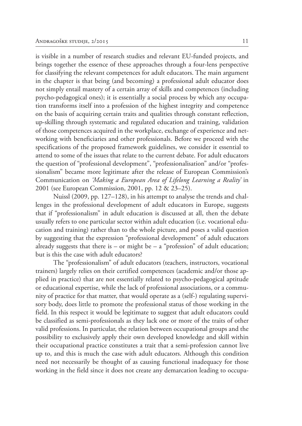is visible in a number of research studies and relevant EU-funded projects, and brings together the essence of these approaches through a four-lens perspective for classifying the relevant competences for adult educators. The main argument in the chapter is that being (and becoming) a professional adult educator does not simply entail mastery of a certain array of skills and competences (including psycho-pedagogical ones); it is essentially a social process by which any occupation transforms itself into a profession of the highest integrity and competence on the basis of acquiring certain traits and qualities through constant reflection, up-skilling through systematic and regulated education and training, validation of those competences acquired in the workplace, exchange of experience and networking with beneficiaries and other professionals. Before we proceed with the specifications of the proposed framework guidelines, we consider it essential to attend to some of the issues that relate to the current debate. For adult educators the question of "professional development", "professionalisation" and/or "professionalism" became more legitimate after the release of European Commission's Communication on *'Making a European Area of Lifelong Learning a Reality'* in 2001 (see European Commission, 2001, pp. 12 & 23–25).

Nuissl (2009, pp. 127–128), in his attempt to analyse the trends and challenges in the professional development of adult educators in Europe, suggests that if "professionalism" in adult education is discussed at all, then the debate usually refers to one particular sector within adult education (i.e. vocational education and training) rather than to the whole picture, and poses a valid question by suggesting that the expression "professional development" of adult educators already suggests that there is  $-$  or might be  $-$  a "profession" of adult education; but is this the case with adult educators?

The "professionalism" of adult educators (teachers, instructors, vocational trainers) largely relies on their certified competences (academic and/or those applied in practice) that are not essentially related to psycho-pedagogical aptitude or educational expertise, while the lack of professional associations, or a community of practice for that matter, that would operate as a (self-) regulating supervisory body, does little to promote the professional status of those working in the field. In this respect it would be legitimate to suggest that adult educators could be classified as semi-professionals as they lack one or more of the traits of other valid professions. In particular, the relation between occupational groups and the possibility to exclusively apply their own developed knowledge and skill within their occupational practice constitutes a trait that a semi-profession cannot live up to, and this is much the case with adult educators. Although this condition need not necessarily be thought of as causing functional inadequacy for those working in the field since it does not create any demarcation leading to occupa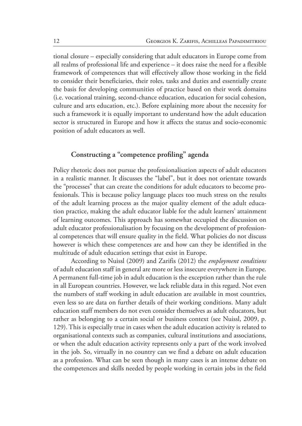tional closure – especially considering that adult educators in Europe come from all realms of professional life and experience – it does raise the need for a flexible framework of competences that will effectively allow those working in the field to consider their beneficiaries, their roles, tasks and duties and essentially create the basis for developing communities of practice based on their work domains (i.e. vocational training, second-chance education, education for social cohesion, culture and arts education, etc.). Before explaining more about the necessity for such a framework it is equally important to understand how the adult education sector is structured in Europe and how it affects the status and socio-economic position of adult educators as well.

### Constructing a "competence profiling" agenda

Policy rhetoric does not pursue the professionalisation aspects of adult educators in a realistic manner. It discusses the "label", but it does not orientate towards the "processes" that can create the conditions for adult educators to become professionals. This is because policy language places too much stress on the results of the adult learning process as the major quality element of the adult education practice, making the adult educator liable for the adult learners' attainment of learning outcomes. This approach has somewhat occupied the discussion on adult educator professionalisation by focusing on the development of professional competences that will ensure quality in the field. What policies do not discuss however is which these competences are and how can they be identified in the multitude of adult education settings that exist in Europe.

According to Nuissl (2009) and Zarifis (2012) the *employment conditions* of adult education staff in general are more or less insecure everywhere in Europe. A permanent full-time job in adult education is the exception rather than the rule in all European countries. However, we lack reliable data in this regard. Not even the numbers of staff working in adult education are available in most countries, even less so are data on further details of their working conditions. Many adult education staff members do not even consider themselves as adult educators, but rather as belonging to a certain social or business context (see Nuissl, 2009, p. 129). This is especially true in cases when the adult education activity is related to organisational contexts such as companies, cultural institutions and associations, or when the adult education activity represents only a part of the work involved in the job. So, virtually in no country can we find a debate on adult education as a profession. What can be seen though in many cases is an intense debate on the competences and skills needed by people working in certain jobs in the field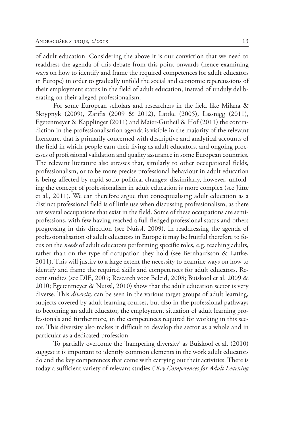of adult education. Considering the above it is our conviction that we need to readdress the agenda of this debate from this point onwards (hence examining ways on how to identify and frame the required competences for adult educators in Europe) in order to gradually unfold the social and economic repercussions of their employment status in the field of adult education, instead of unduly deliberating on their alleged professionalism.

For some European scholars and researchers in the field like Milana & Skrypnyk (2009), Zarifis (2009 & 2012), Lattke (2005), Lassnigg (2011), Egetenmeyer & Kapplinger (2011) and Maier-Gutheil & Hof (2011) the contradiction in the professionalisation agenda is visible in the majority of the relevant literature, that is primarily concerned with descriptive and analytical accounts of the field in which people earn their living as adult educators, and ongoing processes of professional validation and quality assurance in some European countries. The relevant literature also stresses that, similarly to other occupational fields, professionalism, or to be more precise professional behaviour in adult education is being affected by rapid socio-political changes; dissimilarly, however, unfolding the concept of professionalism in adult education is more complex (see Jütte et al., 2011). We can therefore argue that conceptualising adult education as a distinct professional field is of little use when discussing professionalism, as there are several occupations that exist in the field. Some of these occupations are semiprofessions, with few having reached a full-fledged professional status and others progressing in this direction (see Nuissl, 2009). In readdressing the agenda of professionalisation of adult educators in Europe it may be fruitful therefore to focus on the *needs* of adult educators performing specific roles, e.g. teaching adults, rather than on the type of occupation they hold (see Bernhardsson & Lattke, 2011). This will justify to a large extent the necessity to examine ways on how to identify and frame the required skills and competences for adult educators. Recent studies (see DIE, 2009; Research voor Beleid, 2008; Buiskool et al. 2009 & 2010; Egetenmeyer & Nuissl, 2010) show that the adult education sector is very diverse. This *diversity* can be seen in the various target groups of adult learning, subjects covered by adult learning courses, but also in the professional pathways to becoming an adult educator, the employment situation of adult learning professionals and furthermore, in the competences required for working in this sector. This diversity also makes it difficult to develop the sector as a whole and in particular as a dedicated profession.

To partially overcome the 'hampering diversity' as Buiskool et al. (2010) suggest it is important to identify common elements in the work adult educators do and the key competences that come with carrying out their activities. There is today a sufficient variety of relevant studies ('*Key Competences for Adult Learning*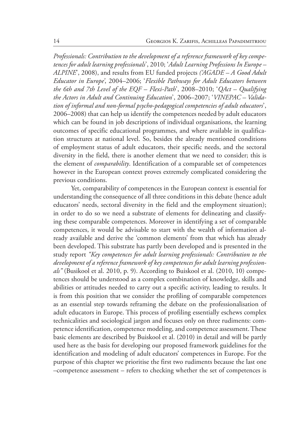*Professionals: Contribution to the development of a reference framework of key competences for adult learning professionals*', 2010; '*Adult Learning Professions In Europe – ALPINE*', 2008), and results from EU funded projects *('AGADE – A Good Adult Educator in Europe'*, 2004–2006; '*Flexible Pathways for Adult Educators between the 6th and 7th Level of the EQF – Flexi-Path*', 2008–2010; '*QAct – Qualifying the Actors in Adult and Continuing Education*', 2006–2007; '*VINEPAC – Validation of informal and non-formal psycho-pedagogical competencies of adult educators*', 2006–2008) that can help us identify the competences needed by adult educators which can be found in job descriptions of individual organisations, the learning outcomes of specific educational programmes, and where available in qualification structures at national level. So, besides the already mentioned conditions of employment status of adult educators, their specific needs, and the sectoral diversity in the field, there is another element that we need to consider; this is the element of *comparability*. Identification of a comparable set of competences however in the European context proves extremely complicated considering the previous conditions.

Yet, comparability of competences in the European context is essential for understanding the consequence of all three conditions in this debate (hence adult educators' needs, sectoral diversity in the field and the employment situation); in order to do so we need a substrate of elements for delineating and classifying these comparable competences. Moreover in identifying a set of comparable competences, it would be advisable to start with the wealth of information already available and derive the 'common elements' from that which has already been developed. This substrate has partly been developed and is presented in the study report *"Key competences for adult learning professionals: Contribution to the development of a reference framework of key competences for adult learning professionals"* (Busikool et al. 2010, p. 9). According to Buiskool et al. (2010, 10) competences should be understood as a complex combination of knowledge, skills and abilities or attitudes needed to carry out a specific activity, leading to results. It is from this position that we consider the profiling of comparable competences as an essential step towards reframing the debate on the professionalisation of adult educators in Europe. This process of profiling essentially eschews complex technicalities and sociological jargon and focuses only on three rudiments: competence identification, competence modeling, and competence assessment. These basic elements are described by Buiskool et al. (2010) in detail and will be partly used here as the basis for developing our proposed framework guidelines for the identification and modeling of adult educators' competences in Europe. For the purpose of this chapter we prioritise the first two rudiments because the last one –competence assessment – refers to checking whether the set of competences is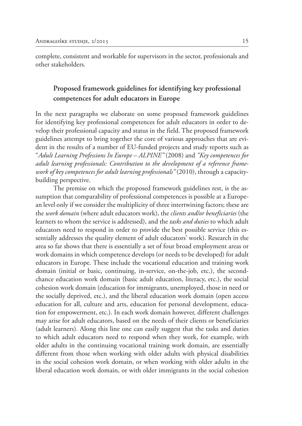complete, consistent and workable for supervisors in the sector, professionals and other stakeholders.

## **Proposed framework guidelines for identifying key professional competences for adult educators in Europe**

In the next paragraphs we elaborate on some proposed framework guidelines for identifying key professional competences for adult educators in order to develop their professional capacity and status in the field. The proposed framework guidelines attempt to bring together the core of various approaches that are evident in the results of a number of EU-funded projects and study reports such as "*Adult Learning Professions In Europe – ALPINE"* (2008) and *"Key competences for adult learning professionals: Contribution to the development of a reference framework of key competences for adult learning professionals"* (2010), through a capacitybuilding perspective.

The premise on which the proposed framework guidelines rest, is the assumption that comparability of professional competences is possible at a European level only if we consider the multiplicity of three intertwining factors; these are the *work domain* (where adult educators work), the *clients and/or beneficiaries* (the learners to whom the service is addressed), and the *tasks and duties* to which adult educators need to respond in order to provide the best possible service (this essentially addresses the quality element of adult educators' work). Research in the area so far shows that there is essentially a set of four broad employment areas or work domains in which competence develops (or needs to be developed) for adult educators in Europe. These include the vocational education and training work domain (initial or basic, continuing, in-service, on-the-job, etc.), the secondchance education work domain (basic adult education, literacy, etc.), the social cohesion work domain (education for immigrants, unemployed, those in need or the socially deprived, etc.), and the liberal education work domain (open access education for all, culture and arts, education for personal development, education for empowerment, etc.). In each work domain however, different challenges may arise for adult educators, based on the needs of their clients or beneficiaries (adult learners). Along this line one can easily suggest that the tasks and duties to which adult educators need to respond when they work, for example, with older adults in the continuing vocational training work domain, are essentially different from those when working with older adults with physical disabilities in the social cohesion work domain, or when working with older adults in the liberal education work domain, or with older immigrants in the social cohesion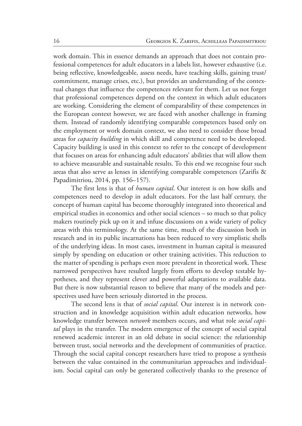work domain. This in essence demands an approach that does not contain professional competences for adult educators in a labels list, however exhaustive (i.e. being reflective, knowledgeable, assess needs, have teaching skills, gaining trust/ commitment, manage crises, etc.), but provides an understanding of the contextual changes that influence the competences relevant for them. Let us not forget that professional competences depend on the context in which adult educators are working. Considering the element of comparability of these competences in the European context however, we are faced with another challenge in framing them. Instead of randomly identifying comparable competences based only on the employment or work domain context, we also need to consider those broad areas for *capacity building* in which skill and competence need to be developed. Capacity building is used in this context to refer to the concept of development that focuses on areas for enhancing adult educators' abilities that will allow them to achieve measurable and sustainable results. To this end we recognise four such areas that also serve as lenses in identifying comparable competences (Zarifis & Papadimitriou, 2014, pp. 156–157).

The first lens is that of *human capital*. Our interest is on how skills and competences need to develop in adult educators. For the last half century, the concept of human capital has become thoroughly integrated into theoretical and empirical studies in economics and other social sciences – so much so that policy makers routinely pick up on it and infuse discussions on a wide variety of policy areas with this terminology. At the same time, much of the discussion both in research and in its public incarnations has been reduced to very simplistic shells of the underlying ideas. In most cases, investment in human capital is measured simply by spending on education or other training activities. This reduction to the matter of spending is perhaps even more prevalent in theoretical work. These narrowed perspectives have resulted largely from efforts to develop testable hypotheses, and they represent clever and powerful adaptations to available data. But there is now substantial reason to believe that many of the models and perspectives used have been seriously distorted in the process.

The second lens is that of *social capital*. Our interest is in network construction and in knowledge acquisition within adult education networks, how knowledge transfer between *network* members occurs, and what role *social capital* plays in the transfer. The modern emergence of the concept of social capital renewed academic interest in an old debate in social science: the relationship between trust, social networks and the development of communities of practice. Through the social capital concept researchers have tried to propose a synthesis between the value contained in the communitarian approaches and individualism. Social capital can only be generated collectively thanks to the presence of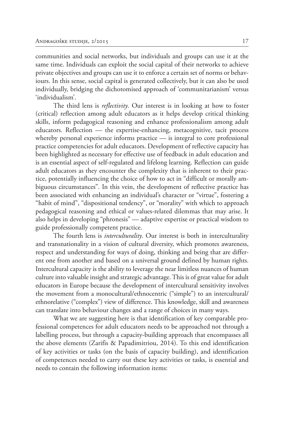communities and social networks, but individuals and groups can use it at the same time. Individuals can exploit the social capital of their networks to achieve private objectives and groups can use it to enforce a certain set of norms or behaviours. In this sense, social capital is generated collectively, but it can also be used individually, bridging the dichotomised approach of 'communitarianism' versus 'individualism'.

The third lens is *reflectivity*. Our interest is in looking at how to foster (critical) reflection among adult educators as it helps develop critical thinking skills, inform pedagogical reasoning and enhance professionalism among adult educators. Reflection — the expertise-enhancing, metacognitive, tacit process whereby personal experience informs practice — is integral to core professional practice competencies for adult educators. Development of reflective capacity has been highlighted as necessary for effective use of feedback in adult education and is an essential aspect of self-regulated and lifelong learning. Reflection can guide adult educators as they encounter the complexity that is inherent to their practice, potentially influencing the choice of how to act in "difficult or morally ambiguous circumstances". In this vein, the development of reflective practice has been associated with enhancing an individual's character or "virtue", fostering a "habit of mind", "dispositional tendency", or "morality" with which to approach pedagogical reasoning and ethical or values-related dilemmas that may arise. It also helps in developing "phronesis" — adaptive expertise or practical wisdom to guide professionally competent practice.

The fourth lens is *interculturality*. Our interest is both in interculturality and transnationality in a vision of cultural diversity, which promotes awareness, respect and understanding for ways of doing, thinking and being that are different one from another and based on a universal ground defined by human rights. Intercultural capacity is the ability to leverage the near limitless nuances of human culture into valuable insight and strategic advantage. This is of great value for adult educators in Europe because the development of intercultural sensitivity involves the movement from a monocultural/ethnocentric ("simple") to an intercultural/ ethnorelative ("complex") view of difference. This knowledge, skill and awareness can translate into behaviour changes and a range of choices in many ways.

What we are suggesting here is that identification of key comparable professional competences for adult educators needs to be approached not through a labelling process, but through a capacity-building approach that encompasses all the above elements (Zarifis & Papadimitriou, 2014). To this end identification of key activities or tasks (on the basis of capacity building), and identification of competences needed to carry out these key activities or tasks, is essential and needs to contain the following information items: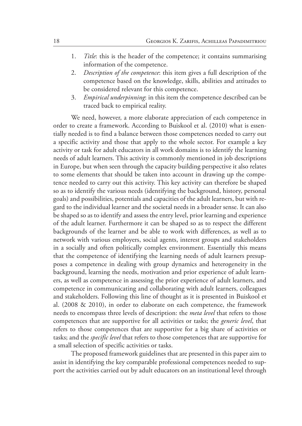- 1. *Title*: this is the header of the competence; it contains summarising information of the competence.
- 2. *Description of the competence*: this item gives a full description of the competence based on the knowledge, skills, abilities and attitudes to be considered relevant for this competence.
- 3. *Empirical underpinning*: in this item the competence described can be traced back to empirical reality.

We need, however, a more elaborate appreciation of each competence in order to create a framework. According to Buiskool et al. (2010) what is essentially needed is to find a balance between those competences needed to carry out a specific activity and those that apply to the whole sector. For example a key activity or task for adult educators in all work domains is to identify the learning needs of adult learners. This activity is commonly mentioned in job descriptions in Europe, but when seen through the capacity building perspective it also relates to some elements that should be taken into account in drawing up the competence needed to carry out this activity. This key activity can therefore be shaped so as to identify the various needs (identifying the background, history, personal goals) and possibilities, potentials and capacities of the adult learners, but with regard to the individual learner and the societal needs in a broader sense. It can also be shaped so as to identify and assess the entry level, prior learning and experience of the adult learner. Furthermore it can be shaped so as to respect the different backgrounds of the learner and be able to work with differences, as well as to network with various employers, social agents, interest groups and stakeholders in a socially and often politically complex environment. Essentially this means that the competence of identifying the learning needs of adult learners presupposes a competence in dealing with group dynamics and heterogeneity in the background, learning the needs, motivation and prior experience of adult learners, as well as competence in assessing the prior experience of adult learners, and competence in communicating and collaborating with adult learners, colleagues and stakeholders. Following this line of thought as it is presented in Buiskool et al. (2008 & 2010), in order to elaborate on each competence, the framework needs to encompass three levels of description: the *meta level* that refers to those competences that are supportive for all activities or tasks; the *generic level*, that refers to those competences that are supportive for a big share of activities or tasks; and the *specific level* that refers to those competences that are supportive for a small selection of specific activities or tasks.

The proposed framework guidelines that are presented in this paper aim to assist in identifying the key comparable professional competences needed to support the activities carried out by adult educators on an institutional level through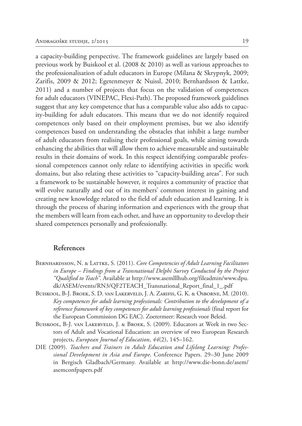a capacity-building perspective. The framework guidelines are largely based on previous work by Buiskool et al. (2008 & 2010) as well as various approaches to the professionalisation of adult educators in Europe (Milana & Skrypnyk, 2009; Zarifis, 2009 & 2012; Egetenmeyer & Nuissl, 2010; Bernhardsson & Lattke, 2011) and a number of projects that focus on the validation of competences for adult educators (VINEPAC, Flexi-Path). The proposed framework guidelines suggest that any key competence that has a comparable value also adds to capacity-building for adult educators. This means that we do not identify required competences only based on their employment premises, but we also identify competences based on understanding the obstacles that inhibit a large number of adult educators from realising their professional goals, while aiming towards enhancing the abilities that will allow them to achieve measurable and sustainable results in their domains of work. In this respect identifying comparable professional competences cannot only relate to identifying activities in specific work domains, but also relating these activities to "capacity-building areas". For such a framework to be sustainable however, it requires a community of practice that will evolve naturally and out of its members' common interest in gaining and creating new knowledge related to the field of adult education and learning. It is through the process of sharing information and experiences with the group that the members will learn from each other, and have an opportunity to develop their shared competences personally and professionally.

#### **References**

- BERNHARDSSON, N. & LATTKE, S. (2011). *Core Competencies of Adult Learning Facilitators in Europe – Findings from a Transnational Delphi Survey Conducted by the Project "Qualified to Teach"*. Available at http://www.asemlllhub.org/fileadmin/www.dpu. dk/ASEM/events/RN3/QF2TEACH\_Transnational\_Report\_final\_1\_.pdf
- Buiskool, B-J. Broek, S. D. van Lakerveld, J. A. Zarifis, G. K. & Osborne, M. (2010). *Key competences for adult learning professionals: Contribution to the development of a reference framework of key competences for adult learning professionals* (final report for the European Commission DG EAC). Zoetermeer: Research voor Beleid.
- BUISKOOL, B-J. VAN LAKERVELD, J. & BROEK, S. (2009). Educators at Work in two Sectors of Adult and Vocational Education: an overview of two European Research projects, *European Journal of Education*, *44*(2), 145–162.
- DIE (2009). *Teachers and Trainers in Adult Education and Lifelong Learning: Professional Development in Asia and Europe*. Conference Papers. 29–30 June 2009 in Bergisch Gladbach/Germany. Available at http://www.die-bonn.de/asem/ asemconfpapers.pdf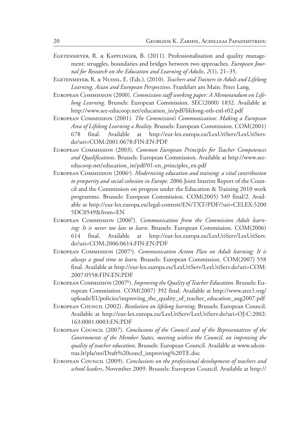- EGETENMEYER, R. & KAPPLINGER, B. (2011). Professionalisation and quality management: struggles, boundaries and bridges between two approaches. *European Journal for Research on the Education and Learning of Adults*, *2*(1), 21–35.
- Egetenmeyer, R. & Nuissl, E. (Eds.). (2010). *Teachers and Trainers in Adult and Lifelong Learning, Asian and European Perspectives*. Frankfurt am Main: Peter Lang.
- European Commission (2000). *Commission staff working paper: A Memorandum on Lifelong Learning*. Brussels: European Commission. SEC(2000) 1832. Available at http://www.see-educoop.net/education\_in/pdf/lifelong-oth-enl-t02.pdf
- European Commission (2001). *The Commission's Communication: Making a European Area of Lifelong Learning a Reality*. Brussels: European Commission. COM(2001) 678 final. Available at http://eur-lex.europa.eu/LexUriServ/LexUriServ. do?uri=COM:2001:0678:FIN:EN:PDF
- European Commission (2003). *Common European Principles for Teacher Competences and Qualifications*. Brussels: European Commission. Available at http://www.seeeducoop.net/education\_in/pdf/01-en\_principles\_en.pdf
- European Commission (2006<sup>a</sup>). *Modernising education and training: a vital contribution to prosperity and social cohesion in Europe.* 2006 Joint Interim Report of the Council and the Commission on progress under the Education & Training 2010 work programme. Brussels: European Commission. COM(2005) 549 final/2. Available at http://eur-lex.europa.eu/legal-content/EN/TXT/PDF/?uri=CELEX:5200 5DC0549&from=EN
- EUROPEAN COMMISSION (2006<sup>b</sup>). *Communication from the Commission Adult learning: It is never too late to learn*. Brussels: European Commission. COM(2006) 614 final. Available at http://eur-lex.europa.eu/LexUriServ/LexUriServ. do?uri=COM:2006:0614:FIN:EN:PDF
- EUROPEAN COMMISSION (2007<sup>a</sup>). *Communication Action Plan on Adult learning: It is always a good time to learn*. Brussels: European Commission. COM(2007) 558 final. Available at http://eur-lex.europa.eu/LexUriServ/LexUriServ.do?uri=COM: 2007:0558:FIN:EN:PDF
- European Commission (2007<sup>b</sup>). *Improving the Quality of Teacher Education*. Brussels: European Commission. COM(2007) 392 final. Available at http://www.atee1.org/ uploads/EUpolicies/improving\_the\_quality\_of\_teacher\_education\_aug2007.pdf
- European Council (2002). *Resolution on lifelong learning*. Brussels: European Council. Available at http://eur-lex.europa.eu/LexUriServ/LexUriServ.do?uri=OJ:C:2002: 163:0001:0003:EN:PDF
- European Council (2007). *Conclusions of the Council and of the Representatives of the Governments of the Member States, meeting within the Council, on improving the quality of teacher education*. Brussels: European Council. Available at www.sdcentras.lt/pla/res/Draft%20concl\_improving%20TE.doc
- European Council (2009). *Conclusions on the professional development of teachers and school leaders*, November 2009. Brussels: European Council. Available at http://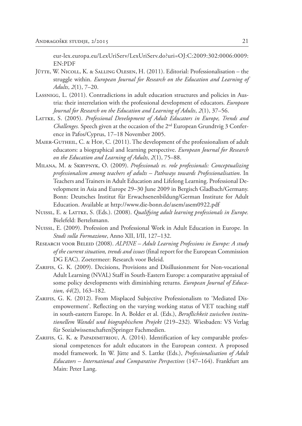eur-lex.europa.eu/LexUriServ/LexUriServ.do?uri=OJ:C:2009:302:0006:0009: EN:PDF

- JÜTTE, W. NICOLL, K. & SALLING OLESEN, H. (2011). Editorial: Professionalisation the struggle within. *European Journal for Research on the Education and Learning of Adults*, *2*(1), 7–20.
- Lassnigg, L. (2011). Contradictions in adult education structures and policies in Austria: their interrelation with the professional development of educators. *European Journal for Research on the Education and Learning of Adults*, *2*(1), 37–56.
- LATTKE, S. (2005). *Professional Development of Adult Educators in Europe*, Trends and *Challenges*. Speech given at the occasion of the 2<sup>nd</sup> European Grundtvig 3 Conference in Pafos/Cyprus, 17–18 November 2005.
- MAIER-GUTHEIL, C. & HOF, C. (2011). The development of the professionalism of adult educators: a biographical and learning perspective. *European Journal for Research on the Education and Learning of Adults*, *2*(1), 75–88.
- Milana, M. & Skrypnyk, O. (2009). *Professionals vs. role professionals: Conceptualizing professionalism among teachers of adults – Pathways towards Professionalisation*. In Teachers and Trainers in Adult Education and Lifelong Learning. Professional Development in Asia and Europe 29–30 June 2009 in Bergisch Gladbach/Germany. Bonn: Deutsches Institut für Erwachsenenbildung/German Institute for Adult Education. Available at http://www.die-bonn.de/asem/asem0922.pdf
- NUISSL, E. & LATTKE, S. (Eds.). (2008). *Qualifying adult learning professionals in Europe*. Bielefeld: Bertelsmann.
- Nuissl, E. (2009). Profession and Professional Work in Adult Education in Europe. In *Studi sulla Formazione*, Anno XII, I/II, 127–132.
- Research voor Beleid (2008). *ALPINE Adult Learning Professions in Europe: A study of the current situation, trends and issues* (final report for the European Commission DG EAC). Zoetermeer: Research voor Beleid.
- ZARIFIS, G. K. (2009). Decisions, Provisions and Disillusionment for Non-vocational Adult Learning (NVAL) Staff in South-Eastern Europe: a comparative appraisal of some policy developments with diminishing returns. *European Journal of Education*, *44*(2), 163–182.
- ZARIFIS, G. K. (2012). From Misplaced Subjective Professionalism to 'Mediated Disempowerment'. Reflecting on the varying working status of VET teaching staff in south-eastern Europe. In A. Bolder et al. (Eds.), *Beruflichkeit zwischen institutionellem Wandel und biographischem Projekt* (219–232)*.* Wiesbaden: VS Verlag für Sozialwissenschaften|Springer Fachmedien.
- ZARIFIS, G. K. & PAPADIMITRIOU, A. (2014). Identification of key comparable professional competences for adult educators in the European context. A proposed model framework. In W. Jütte and S. Lattke (Eds.), *Professionalisation of Adult Educators – International and Comparative Perspectives* (147–164). Frankfurt am Main: Peter Lang.